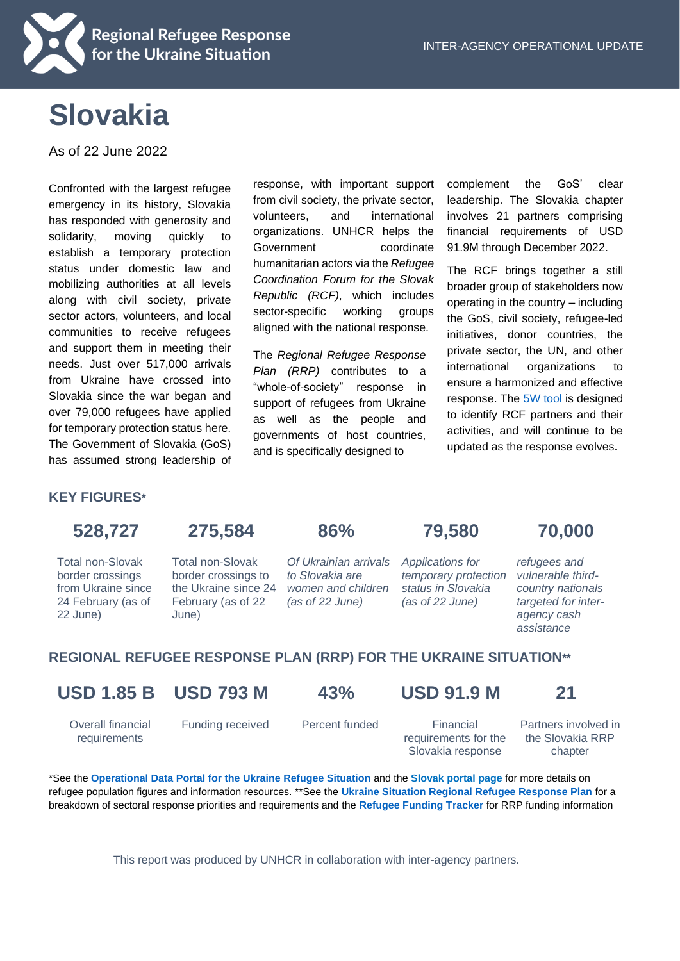

# **Slovakia**

As of 22 June 2022

Confronted with the largest refugee emergency in its history, Slovakia has responded with generosity and solidarity, moving quickly to establish a temporary protection status under domestic law and mobilizing authorities at all levels along with civil society, private sector actors, volunteers, and local communities to receive refugees and support them in meeting their needs. Just over 517,000 arrivals from Ukraine have crossed into Slovakia since the war began and over 79,000 refugees have applied for temporary protection status here. The Government of Slovakia (GoS) has assumed strong leadership of

response, with important support from civil society, the private sector, volunteers, and international organizations. UNHCR helps the Government coordinate humanitarian actors via the *Refugee Coordination Forum for the Slovak Republic (RCF)*, which includes sector-specific working groups aligned with the national response.

The *Regional Refugee Response Plan (RRP)* contributes to a "whole-of-society" response in support of refugees from Ukraine as well as the people and governments of host countries, and is specifically designed to

complement the GoS' clear leadership. The Slovakia chapter involves 21 partners comprising financial requirements of USD 91.9M through December 2022.

The RCF brings together a still broader group of stakeholders now operating in the country – including the GoS, civil society, refugee-led initiatives, donor countries, the private sector, the UN, and other international organizations to ensure a harmonized and effective response. The [5W tool](https://app.powerbi.com/view?r=eyJrIjoiOGZiNzMxZDctOTUyNC00ZmQ3LWJjYWQtMGU2YTQ3ZWMyNzQ1IiwidCI6ImU1YzM3OTgxLTY2NjQtNDEzNC04YTBjLTY1NDNkMmFmODBiZSIsImMiOjh9&pageName=ReportSectiondd9cd7a0b662adca9806) is designed to identify RCF partners and their activities, and will continue to be updated as the response evolves.

#### **KEY FIGURES\***

# **528,727 275,584 86% 79,580 70,000**

Total non-Slovak border crossings from Ukraine since 24 February (as of 22 June)

Total non-Slovak border crossings to the Ukraine since 24 February (as of 22

June)

*Of Ukrainian arrivals to Slovakia are women and children (as of 22 June)*

*Applications for temporary protection status in Slovakia (as of 22 June)* 

*refugees and vulnerable thirdcountry nationals targeted for interagency cash assistance*

### **REGIONAL REFUGEE RESPONSE PLAN (RRP) FOR THE UKRAINE SITUATION\*\***

# **USD 1.85 B USD 793 M 43% USD 91.9 M 21**

Overall financial requirements

Funding received Percent funded Financial

requirements for the Slovakia response

Partners involved in the Slovakia RRP chapter

\*See the **[Operational Data Portal for the Ukraine Refugee Situation](http://data2.unhcr.org/en/situations/ukraine)** and the **[Slovak](https://data.unhcr.org/en/situations/ukraine/location/10785) portal page** for more details on refugee population figures and information resources. \*\*See the **[Ukraine Situation Regional Refugee Response Plan](https://data2.unhcr.org/en/documents/details/92257)** for a breakdown of sectoral response priorities and requirements and the **[Refugee Funding Tracker](https://app.powerbi.com/view?r=eyJrIjoiZWE5MTAyYjYtNDZmYi00NGYzLWFkYjEtMzQ5MTAxZDBiZTU1IiwidCI6ImU1YzM3OTgxLTY2NjQtNDEzNC04YTBjLTY1NDNkMmFmODBiZSIsImMiOjh9)** for RRP funding information

This report was produced by UNHCR in collaboration with inter-agency partners.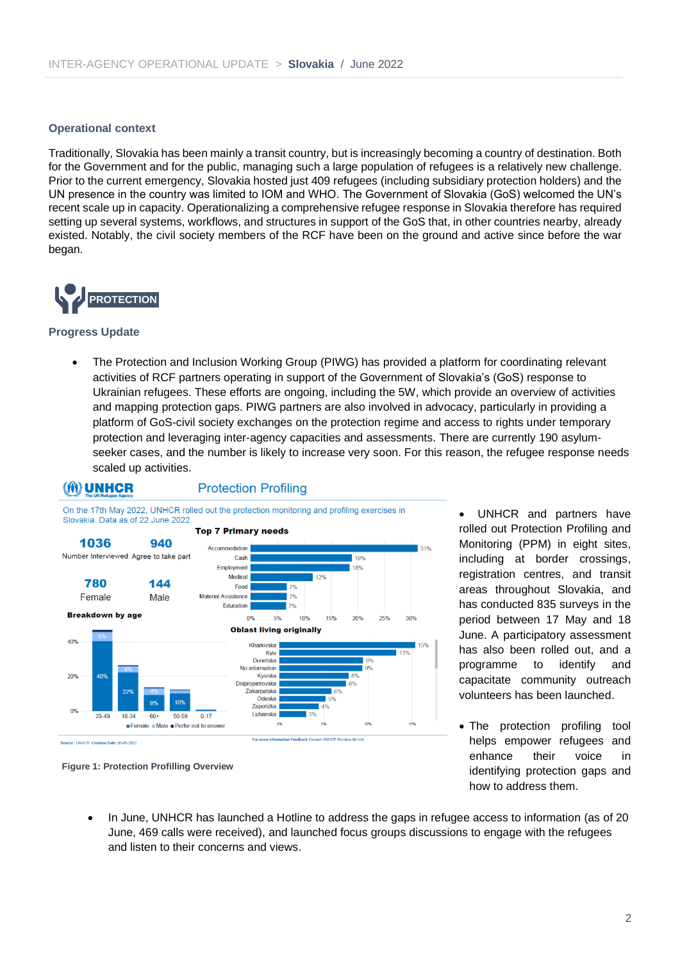#### **Operational context**

Traditionally, Slovakia has been mainly a transit country, but is increasingly becoming a country of destination. Both for the Government and for the public, managing such a large population of refugees is a relatively new challenge. Prior to the current emergency, Slovakia hosted just 409 refugees (including subsidiary protection holders) and the UN presence in the country was limited to IOM and WHO. The Government of Slovakia (GoS) welcomed the UN's recent scale up in capacity. Operationalizing a comprehensive refugee response in Slovakia therefore has required setting up several systems, workflows, and structures in support of the GoS that, in other countries nearby, already existed. Notably, the civil society members of the RCF have been on the ground and active since before the war began.



#### **Progress Update**

• The Protection and Inclusion Working Group (PIWG) has provided a platform for coordinating relevant activities of RCF partners operating in support of the Government of Slovakia's (GoS) response to Ukrainian refugees. These efforts are ongoing, including the 5W, which provide an overview of activities and mapping protection gaps. PIWG partners are also involved in advocacy, particularly in providing a platform of GoS-civil society exchanges on the protection regime and access to rights under temporary protection and leveraging inter-agency capacities and assessments. There are currently 190 asylumseeker cases, and the number is likely to increase very soon. For this reason, the refugee response needs scaled up activities.



#### **Protection Profiling**



rolled out Protection Profiling and Monitoring (PPM) in eight sites, including at border crossings, registration centres, and transit areas throughout Slovakia, and has conducted 835 surveys in the period between 17 May and 18 June. A participatory assessment has also been rolled out, and a programme to identify and capacitate community outreach volunteers has been launched.

UNHCR and partners have

• The protection profiling tool helps empower refugees and enhance their voice in identifying protection gaps and how to address them.

**Figure 1: Protection Profilling Overview**

• In June, UNHCR has launched a Hotline to address the gaps in refugee access to information (as of 20 June, 469 calls were received), and launched focus groups discussions to engage with the refugees and listen to their concerns and views.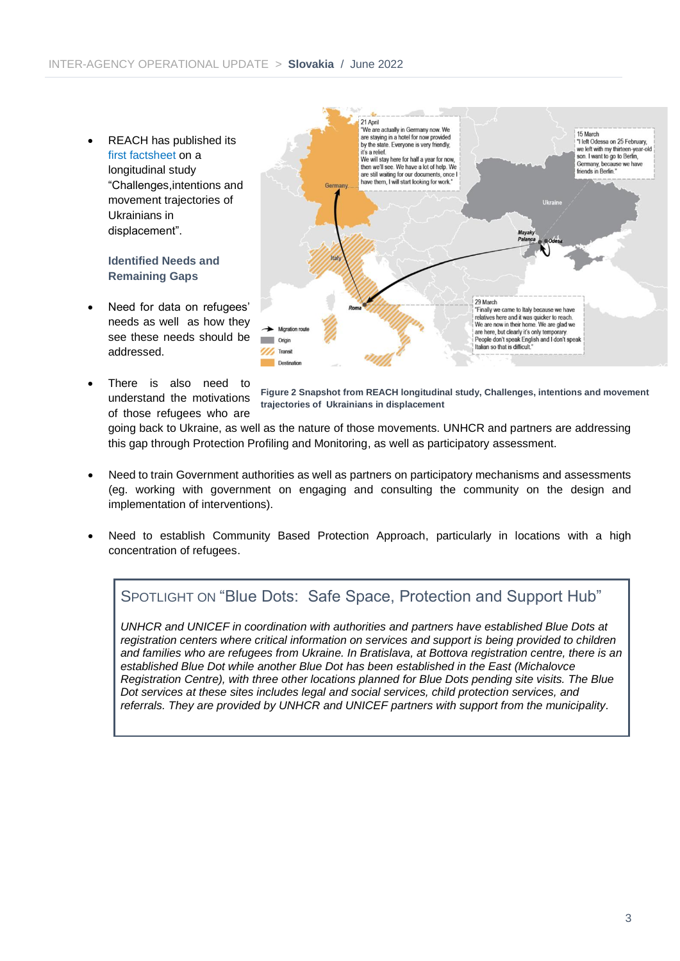• REACH has published its first [factsheet](https://www.impact-repository.org/document/impact/fda687d7/IMPACT_GLO_UKR_brief_sixweeksafterleavingukraine_may2022.pdf) on a longitudinal study "Challenges,intentions and movement trajectories of Ukrainians in displacement".

#### **Identified Needs and Remaining Gaps**

- Need for data on refugees' needs as well as how they see these needs should be addressed.
- There is also need to understand the motivations of those refugees who are

![](_page_2_Figure_5.jpeg)

**Figure 2 Snapshot from REACH longitudinal study, Challenges, intentions and movement trajectories of Ukrainians in displacement**

going back to Ukraine, as well as the nature of those movements. UNHCR and partners are addressing this gap through Protection Profiling and Monitoring, as well as participatory assessment.

- Need to train Government authorities as well as partners on participatory mechanisms and assessments (eg. working with government on engaging and consulting the community on the design and implementation of interventions).
- Need to establish Community Based Protection Approach, particularly in locations with a high concentration of refugees.

### SPOTLIGHT ON "Blue Dots: Safe Space, Protection and Support Hub"

*UNHCR and UNICEF in coordination with authorities and partners have established Blue Dots at registration centers where critical information on services and support is being provided to children and families who are refugees from Ukraine. In Bratislava, at Bottova registration centre, there is an established Blue Dot while another Blue Dot has been established in the East (Michalovce Registration Centre), with three other locations planned for Blue Dots pending site visits. The Blue Dot services at these sites includes legal and social services, child protection services, and referrals. They are provided by UNHCR and UNICEF partners with support from the municipality.*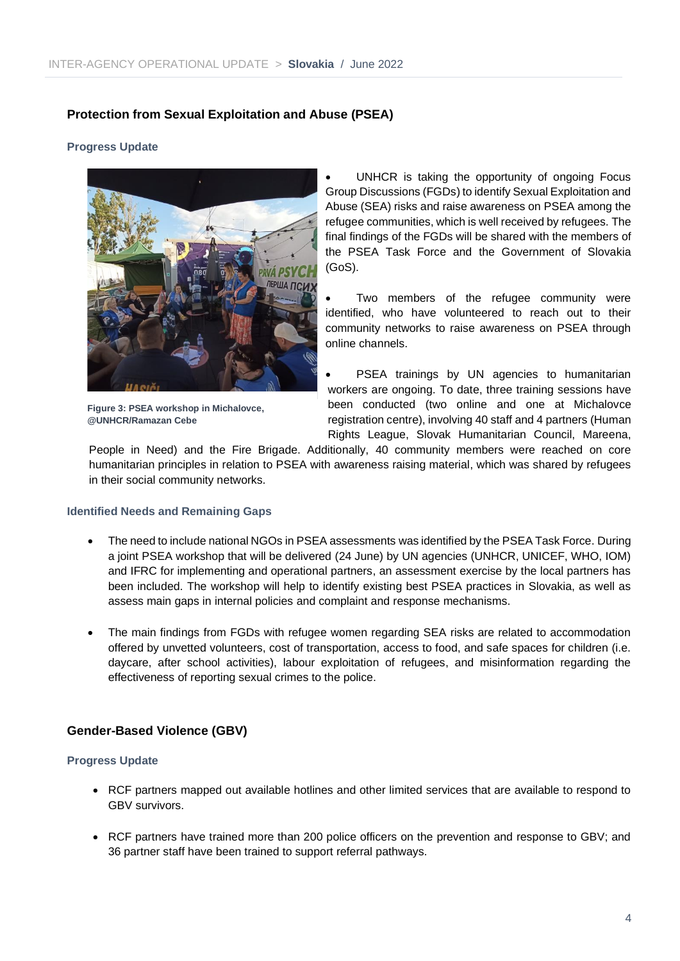#### **Protection from Sexual Exploitation and Abuse (PSEA)**

#### **Progress Update**

![](_page_3_Picture_3.jpeg)

**Figure 3: PSEA workshop in Michalovce, @UNHCR/Ramazan Cebe**

UNHCR is taking the opportunity of ongoing Focus Group Discussions (FGDs) to identify Sexual Exploitation and Abuse (SEA) risks and raise awareness on PSEA among the refugee communities, which is well received by refugees. The final findings of the FGDs will be shared with the members of the PSEA Task Force and the Government of Slovakia (GoS).

Two members of the refugee community were identified, who have volunteered to reach out to their community networks to raise awareness on PSEA through online channels.

PSEA trainings by UN agencies to humanitarian workers are ongoing. To date, three training sessions have been conducted (two online and one at Michalovce registration centre), involving 40 staff and 4 partners (Human Rights League, Slovak Humanitarian Council, Mareena,

People in Need) and the Fire Brigade. Additionally, 40 community members were reached on core humanitarian principles in relation to PSEA with awareness raising material, which was shared by refugees in their social community networks.

#### **Identified Needs and Remaining Gaps**

- The need to include national NGOs in PSEA assessments was identified by the PSEA Task Force. During a joint PSEA workshop that will be delivered (24 June) by UN agencies (UNHCR, UNICEF, WHO, IOM) and IFRC for implementing and operational partners, an assessment exercise by the local partners has been included. The workshop will help to identify existing best PSEA practices in Slovakia, as well as assess main gaps in internal policies and complaint and response mechanisms.
- The main findings from FGDs with refugee women regarding SEA risks are related to accommodation offered by unvetted volunteers, cost of transportation, access to food, and safe spaces for children (i.e. daycare, after school activities), labour exploitation of refugees, and misinformation regarding the effectiveness of reporting sexual crimes to the police.

#### **Gender-Based Violence (GBV)**

#### **Progress Update**

- RCF partners mapped out available hotlines and other limited services that are available to respond to GBV survivors.
- RCF partners have trained more than 200 police officers on the prevention and response to GBV; and 36 partner staff have been trained to support referral pathways.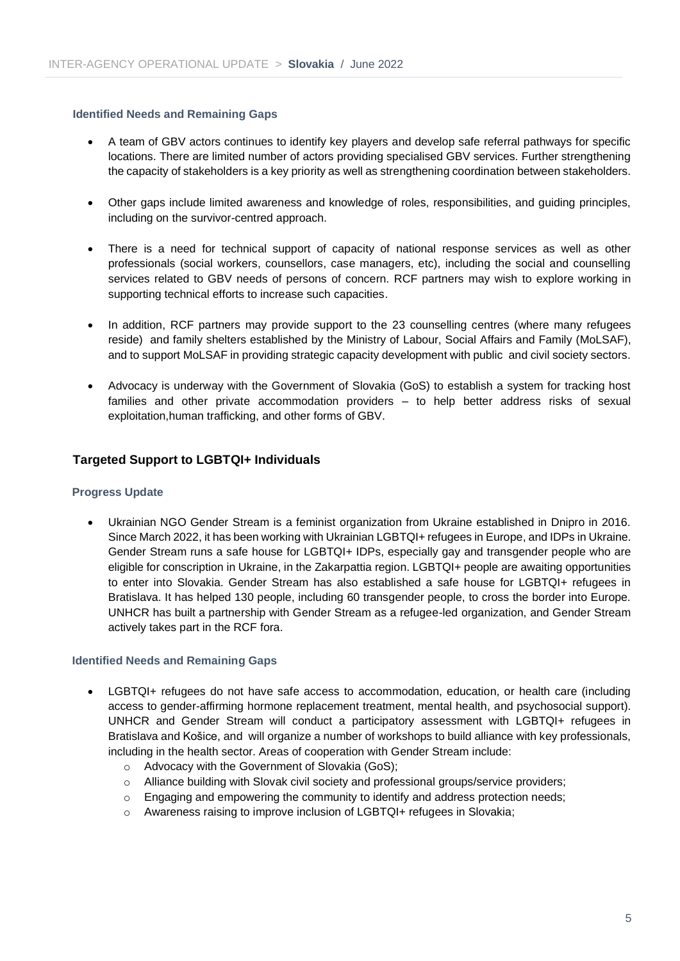#### **Identified Needs and Remaining Gaps**

- A team of GBV actors continues to identify key players and develop safe referral pathways for specific locations. There are limited number of actors providing specialised GBV services. Further strengthening the capacity of stakeholders is a key priority as well as strengthening coordination between stakeholders.
- Other gaps include limited awareness and knowledge of roles, responsibilities, and guiding principles, including on the survivor-centred approach.
- There is a need for technical support of capacity of national response services as well as other professionals (social workers, counsellors, case managers, etc), including the social and counselling services related to GBV needs of persons of concern. RCF partners may wish to explore working in supporting technical efforts to increase such capacities.
- In addition, RCF partners may provide support to the 23 counselling centres (where many refugees reside) and family shelters established by the Ministry of Labour, Social Affairs and Family (MoLSAF), and to support MoLSAF in providing strategic capacity development with public and civil society sectors.
- Advocacy is underway with the Government of Slovakia (GoS) to establish a system for tracking host families and other private accommodation providers – to help better address risks of sexual exploitation,human trafficking, and other forms of GBV.

#### **Targeted Support to LGBTQI+ Individuals**

#### **Progress Update**

• Ukrainian NGO Gender Stream is a feminist organization from Ukraine established in Dnipro in 2016. Since March 2022, it has been working with Ukrainian LGBTQI+ refugees in Europe, and IDPs in Ukraine. Gender Stream runs a safe house for LGBTQI+ IDPs, especially gay and transgender people who are eligible for conscription in Ukraine, in the Zakarpattia region. LGBTQI+ people are awaiting opportunities to enter into Slovakia. Gender Stream has also established a safe house for LGBTQI+ refugees in Bratislava. It has helped 130 people, including 60 transgender people, to cross the border into Europe. UNHCR has built a partnership with Gender Stream as a refugee-led organization, and Gender Stream actively takes part in the RCF fora.

#### **Identified Needs and Remaining Gaps**

- LGBTQI+ refugees do not have safe access to accommodation, education, or health care (including access to gender-affirming hormone replacement treatment, mental health, and psychosocial support). UNHCR and Gender Stream will conduct a participatory assessment with LGBTQI+ refugees in Bratislava and Košice, and will organize a number of workshops to build alliance with key professionals, including in the health sector. Areas of cooperation with Gender Stream include:
	- o Advocacy with the Government of Slovakia (GoS);
	- o Alliance building with Slovak civil society and professional groups/service providers;
	- $\circ$  Engaging and empowering the community to identify and address protection needs;
	- o Awareness raising to improve inclusion of LGBTQI+ refugees in Slovakia;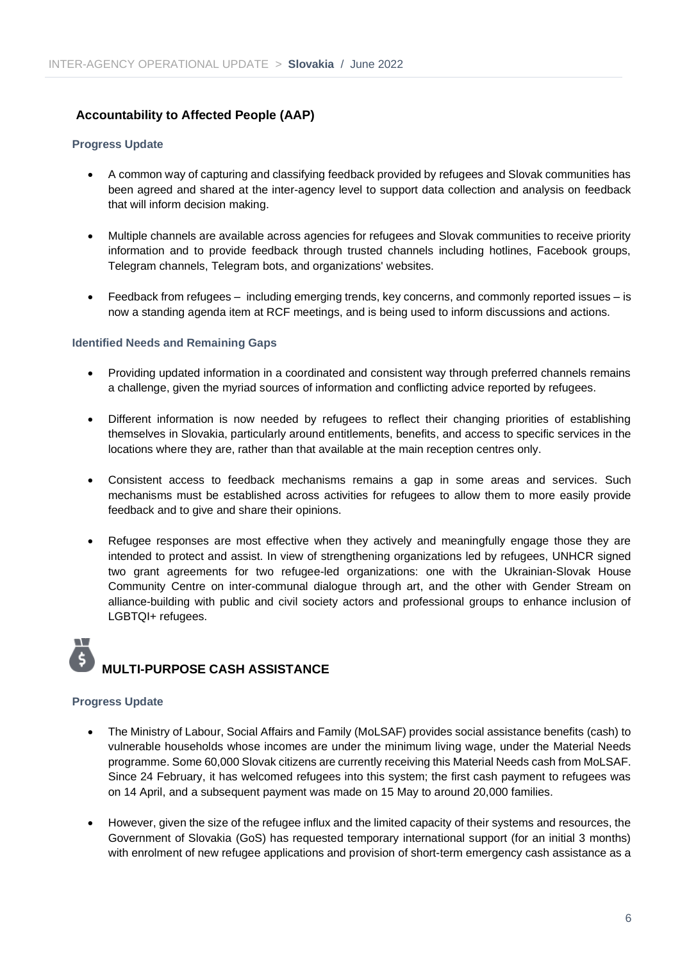#### **Accountability to Affected People (AAP)**

#### **Progress Update**

- A common way of capturing and classifying feedback provided by refugees and Slovak communities has been agreed and shared at the inter-agency level to support data collection and analysis on feedback that will inform decision making.
- Multiple channels are available across agencies for refugees and Slovak communities to receive priority information and to provide feedback through trusted channels including hotlines, Facebook groups, Telegram channels, Telegram bots, and organizations' websites.
- Feedback from refugees including emerging trends, key concerns, and commonly reported issues is now a standing agenda item at RCF meetings, and is being used to inform discussions and actions.

#### **Identified Needs and Remaining Gaps**

- Providing updated information in a coordinated and consistent way through preferred channels remains a challenge, given the myriad sources of information and conflicting advice reported by refugees.
- Different information is now needed by refugees to reflect their changing priorities of establishing themselves in Slovakia, particularly around entitlements, benefits, and access to specific services in the locations where they are, rather than that available at the main reception centres only.
- Consistent access to feedback mechanisms remains a gap in some areas and services. Such mechanisms must be established across activities for refugees to allow them to more easily provide feedback and to give and share their opinions.
- Refugee responses are most effective when they actively and meaningfully engage those they are intended to protect and assist. In view of strengthening organizations led by refugees, UNHCR signed two grant agreements for two refugee-led organizations: one with the Ukrainian-Slovak House Community Centre on inter-communal dialogue through art, and the other with Gender Stream on alliance-building with public and civil society actors and professional groups to enhance inclusion of LGBTQI+ refugees.

# **MULTI-PURPOSE CASH ASSISTANCE**

#### **Progress Update**

W

- The Ministry of Labour, Social Affairs and Family (MoLSAF) provides social assistance benefits (cash) to vulnerable households whose incomes are under the minimum living wage, under the Material Needs programme. Some 60,000 Slovak citizens are currently receiving this Material Needs cash from MoLSAF. Since 24 February, it has welcomed refugees into this system; the first cash payment to refugees was on 14 April, and a subsequent payment was made on 15 May to around 20,000 families.
- However, given the size of the refugee influx and the limited capacity of their systems and resources, the Government of Slovakia (GoS) has requested temporary international support (for an initial 3 months) with enrolment of new refugee applications and provision of short-term emergency cash assistance as a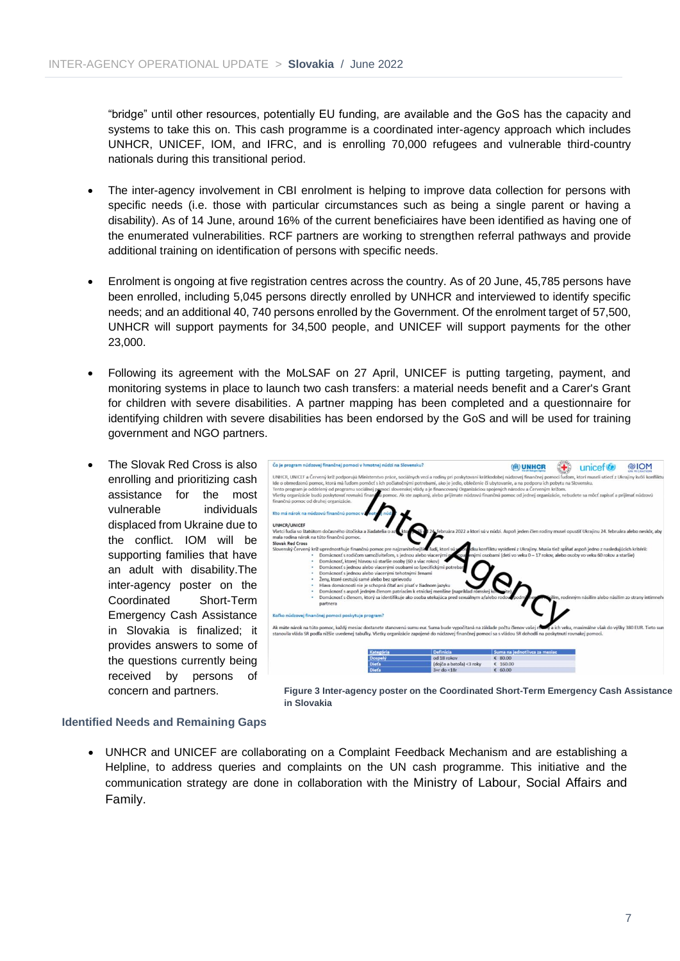"bridge" until other resources, potentially EU funding, are available and the GoS has the capacity and systems to take this on. This cash programme is a coordinated inter-agency approach which includes UNHCR, UNICEF, IOM, and IFRC, and is enrolling 70,000 refugees and vulnerable third-country nationals during this transitional period.

- The inter-agency involvement in CBI enrolment is helping to improve data collection for persons with specific needs (i.e. those with particular circumstances such as being a single parent or having a disability). As of 14 June, around 16% of the current beneficiaires have been identified as having one of the enumerated vulnerabilities. RCF partners are working to strengthen referral pathways and provide additional training on identification of persons with specific needs.
- Enrolment is ongoing at five registration centres across the country. As of 20 June, 45,785 persons have been enrolled, including 5,045 persons directly enrolled by UNHCR and interviewed to identify specific needs; and an additional 40, 740 persons enrolled by the Government. Of the enrolment target of 57,500, UNHCR will support payments for 34,500 people, and UNICEF will support payments for the other 23,000.
- Following its agreement with the MoLSAF on 27 April, UNICEF is putting targeting, payment, and monitoring systems in place to launch two cash transfers: a material needs benefit and a Carer's Grant for children with severe disabilities. A partner mapping has been completed and a questionnaire for identifying children with severe disabilities has been endorsed by the GoS and will be used for training government and NGO partners.
- The Slovak Red Cross is also enrolling and prioritizing cash assistance for the most vulnerable individuals displaced from Ukraine due to the conflict. IOM will be supporting families that have an adult with disability.The inter-agency poster on the Coordinated Short-Term Emergency Cash Assistance in Slovakia is [finalized;](https://help.unhcr.org/slovakia/wp-content/uploads/sites/76/2022/06/220603-Inter-Agency-Poster-Cash-Assistance_%CE%911_English.pdf) it provides answers to some of the questions currently being received by persons of concern and partners.

![](_page_6_Figure_6.jpeg)

**Figure 3 Inter-agency poster on the Coordinated Short-Term Emergency Cash Assistance in Slovakia**

#### **Identified Needs and Remaining Gaps**

• UNHCR and UNICEF are collaborating on a Complaint Feedback Mechanism and are establishing a Helpline, to address queries and complaints on the UN cash programme. This initiative and the communication strategy are done in collaboration with the Ministry of Labour, Social Affairs and Family.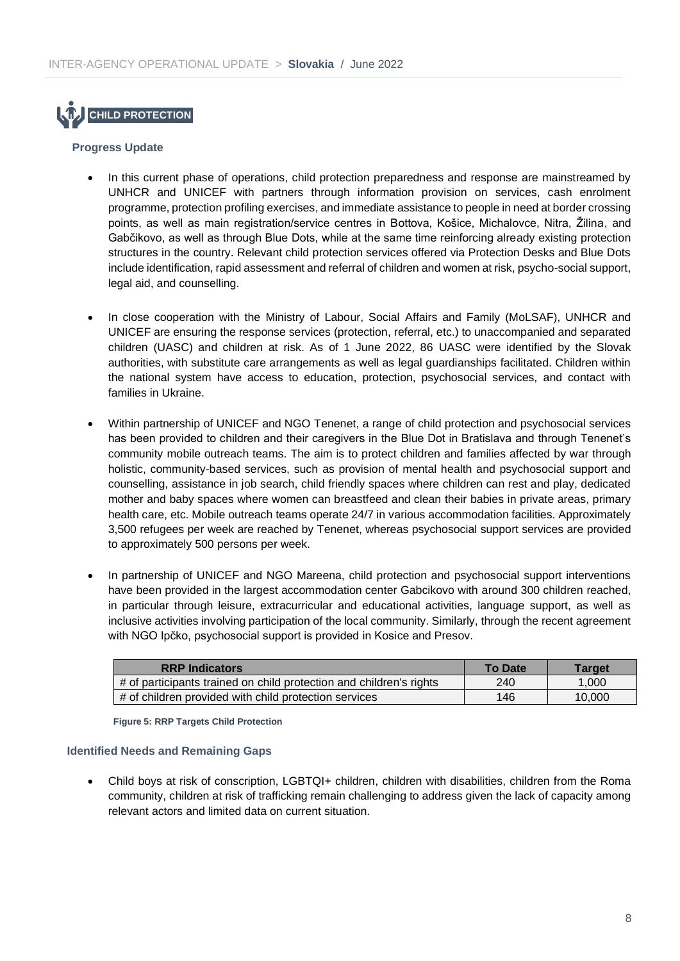![](_page_7_Picture_1.jpeg)

#### **Progress Update**

- In this current phase of operations, child protection preparedness and response are mainstreamed by UNHCR and UNICEF with partners through information provision on services, cash enrolment programme, protection profiling exercises, and immediate assistance to people in need at border crossing points, as well as main registration/service centres in Bottova, Košice, Michalovce, Nitra, Žilina, and Gabčikovo, as well as through Blue Dots, while at the same time reinforcing already existing protection structures in the country. Relevant child protection services offered via Protection Desks and Blue Dots include identification, rapid assessment and referral of children and women at risk, psycho-social support, legal aid, and counselling.
- In close cooperation with the Ministry of Labour, Social Affairs and Family (MoLSAF), UNHCR and UNICEF are ensuring the response services (protection, referral, etc.) to unaccompanied and separated children (UASC) and children at risk. As of 1 June 2022, 86 UASC were identified by the Slovak authorities, with substitute care arrangements as well as legal guardianships facilitated. Children within the national system have access to education, protection, psychosocial services, and contact with families in Ukraine.
- Within partnership of UNICEF and NGO Tenenet, a range of child protection and psychosocial services has been provided to children and their caregivers in the Blue Dot in Bratislava and through Tenenet's community mobile outreach teams. The aim is to protect children and families affected by war through holistic, community-based services, such as provision of mental health and psychosocial support and counselling, assistance in job search, child friendly spaces where children can rest and play, dedicated mother and baby spaces where women can breastfeed and clean their babies in private areas, primary health care, etc. Mobile outreach teams operate 24/7 in various accommodation facilities. Approximately 3,500 refugees per week are reached by Tenenet, whereas psychosocial support services are provided to approximately 500 persons per week.
- In partnership of UNICEF and NGO Mareena, child protection and psychosocial support interventions have been provided in the largest accommodation center Gabcikovo with around 300 children reached, in particular through leisure, extracurricular and educational activities, language support, as well as inclusive activities involving participation of the local community. Similarly, through the recent agreement with NGO Ipčko, psychosocial support is provided in Kosice and Presov.

| <b>RRP Indicators</b>                                               | <b>To Date</b> | <b>Target</b> |
|---------------------------------------------------------------------|----------------|---------------|
| # of participants trained on child protection and children's rights | 240            | 1.000         |
| # of children provided with child protection services               | 146            | 10.000        |

**Figure 5: RRP Targets Child Protection**

#### **Identified Needs and Remaining Gaps**

• Child boys at risk of conscription, LGBTQI+ children, children with disabilities, children from the Roma community, children at risk of trafficking remain challenging to address given the lack of capacity among relevant actors and limited data on current situation.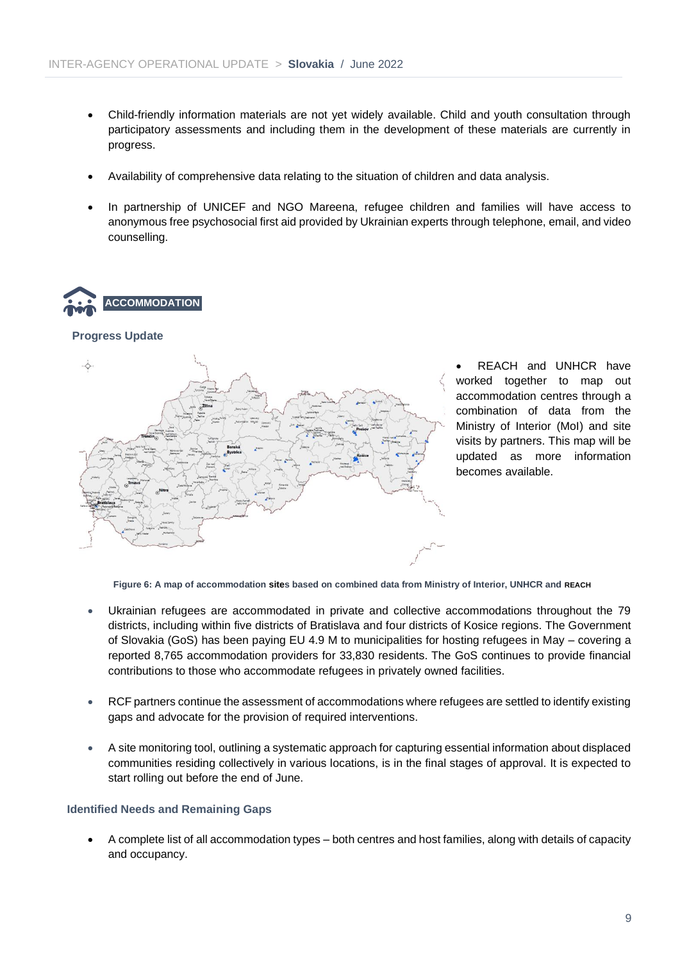- Child-friendly information materials are not yet widely available. Child and youth consultation through participatory assessments and including them in the development of these materials are currently in progress.
- Availability of comprehensive data relating to the situation of children and data analysis.
- In partnership of UNICEF and NGO Mareena, refugee children and families will have access to anonymous free psychosocial first aid provided by Ukrainian experts through telephone, email, and video counselling.

![](_page_8_Picture_4.jpeg)

#### **Progress Update**

![](_page_8_Figure_6.jpeg)

• REACH and UNHCR have worked together to map out accommodation centres through a combination of data from the Ministry of Interior (MoI) and site visits by partners. This map will be updated as more information becomes available.

**Figure 6: A map of accommodation sites based on combined data from Ministry of Interior, UNHCR and REACH**

- Ukrainian refugees are accommodated in private and collective accommodations throughout the 79 districts, including within five districts of Bratislava and four districts of Kosice regions. The Government of Slovakia (GoS) has been paying EU 4.9 M to municipalities for hosting refugees in May – covering a reported 8,765 accommodation providers for 33,830 residents. The GoS continues to provide financial contributions to those who accommodate refugees in privately owned facilities.
- RCF partners continue the assessment of accommodations where refugees are settled to identify existing gaps and advocate for the provision of required interventions.
- A site monitoring tool, outlining a systematic approach for capturing essential information about displaced communities residing collectively in various locations, is in the final stages of approval. It is expected to start rolling out before the end of June.

#### **Identified Needs and Remaining Gaps**

• A complete list of all accommodation types – both centres and host families, along with details of capacity and occupancy.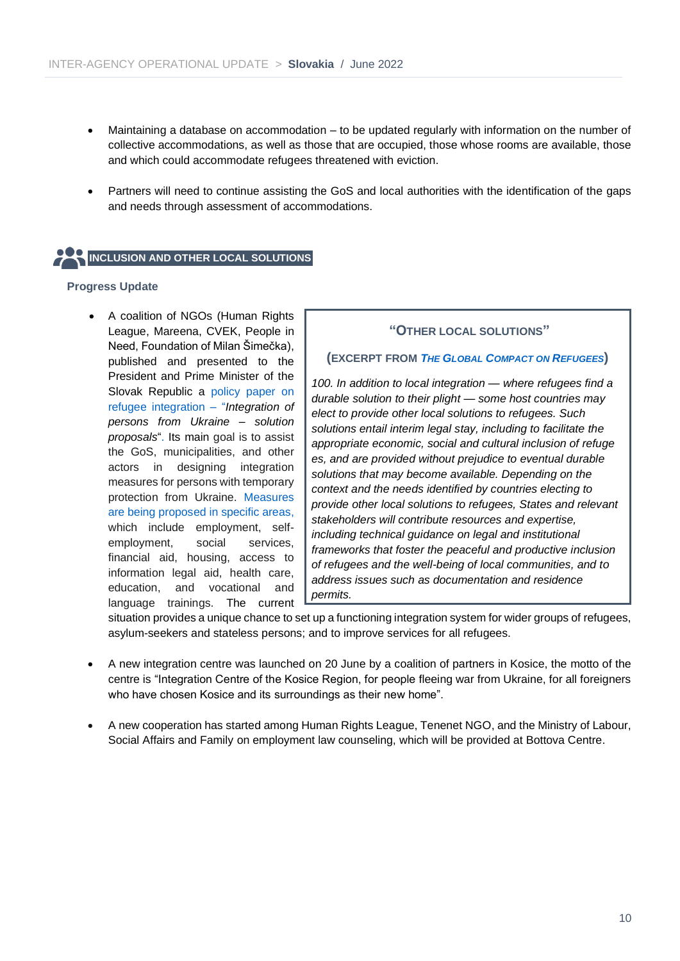- Maintaining a database on accommodation to be updated regularly with information on the number of collective accommodations, as well as those that are occupied, those whose rooms are available, those and which could accommodate refugees threatened with eviction.
- Partners will need to continue assisting the GoS and local authorities with the identification of the gaps and needs through assessment of accommodations.

# **INCLUSION AND OTHER LOCAL SOLUTIONS**

#### **Progress Update**

• A coalition of NGOs (Human Rights League, Mareena, CVEK, People in Need, Foundation of Milan Šimečka), published and presented to the President and Prime Minister of the Slovak Republic a [policy paper on](https://mareena.sk/assets/files/Integration-of-people-from-Ukraine_Recommendations.pdf)  [refugee integration](https://mareena.sk/assets/files/Integration-of-people-from-Ukraine_Recommendations.pdf) – "*Integration of [persons from Ukraine –](https://mareena.sk/assets/files/Integration-of-people-from-Ukraine_Recommendations.pdf) solution [proposals](https://mareena.sk/assets/files/Integration-of-people-from-Ukraine_Recommendations.pdf)*". Its main goal is to assist the GoS, municipalities, and other actors in designing integration measures for persons with temporary protection from Ukraine. [Measures](https://mareena.sk/assets/files/Integracia-ludi-z-Ukrajiny_Navrhy-ries%CC%8Ceni%CC%81.pdf)  [are being proposed in specific areas,](https://mareena.sk/assets/files/Integracia-ludi-z-Ukrajiny_Navrhy-ries%CC%8Ceni%CC%81.pdf)  [which include](https://mareena.sk/assets/files/Integracia-ludi-z-Ukrajiny_Navrhy-ries%CC%8Ceni%CC%81.pdf) employment, selfemployment, social services, financial aid, housing, access to information legal aid, health care, education, and vocational and language trainings. The current

#### **"OTHER LOCAL SOLUTIONS"**

#### **(EXCERPT FROM** *THE GLOBAL C[OMPACT ON](https://globalcompactrefugees.org/article/global-compact-refugees) REFUGEES***)**

*100. In addition to local integration — where refugees find a durable solution to their plight — some host countries may elect to provide other local solutions to refugees. Such solutions entail interim legal stay, including to facilitate the appropriate economic, social and cultural inclusion of refuge es, and are provided without prejudice to eventual durable solutions that may become available. Depending on the context and the needs identified by countries electing to provide other local solutions to refugees, States and relevant stakeholders will contribute resources and expertise, including technical guidance on legal and institutional frameworks that foster the peaceful and productive inclusion of refugees and the well-being of local communities, and to address issues such as documentation and residence permits.*

situation provides a unique chance to set up a functioning integration system for wider groups of refugees, asylum-seekers and stateless persons; and to improve services for all refugees.

- A new integration centre was launched on 20 June by a coalition of partners in Kosice, the motto of the centre is "Integration Centre of the Kosice Region, for people fleeing war from Ukraine, for all foreigners who have chosen Kosice and its surroundings as their new home".
- A new cooperation has started among Human Rights League, Tenenet NGO, and the Ministry of Labour, Social Affairs and Family on employment law counseling, which will be provided at Bottova Centre.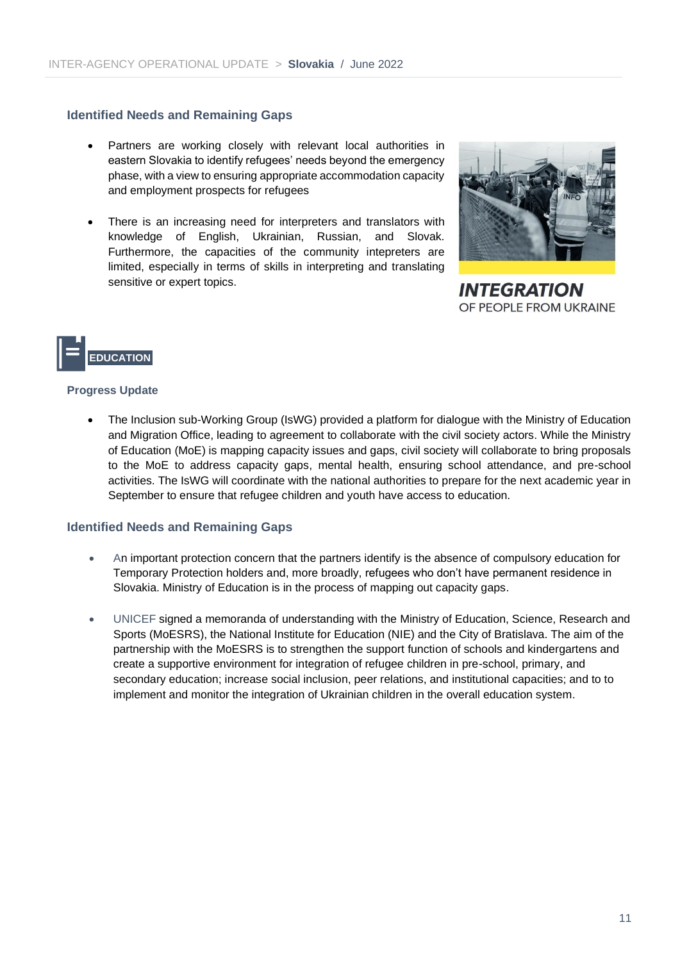#### **Identified Needs and Remaining Gaps**

- Partners are working closely with relevant local authorities in eastern Slovakia to identify refugees' needs beyond the emergency phase, with a view to ensuring appropriate accommodation capacity and employment prospects for refugees
- There is an increasing need for interpreters and translators with knowledge of English, Ukrainian, Russian, and Slovak. Furthermore, the capacities of the community intepreters are limited, especially in terms of skills in interpreting and translating sensitive or expert topics.

![](_page_10_Picture_4.jpeg)

**INTEGRATION** OF PEOPLE FROM UKRAINE

![](_page_10_Picture_6.jpeg)

#### **Progress Update**

• The Inclusion sub-Working Group (IsWG) provided a platform for dialogue with the Ministry of Education and Migration Office, leading to agreement to collaborate with the civil society actors. While the Ministry of Education (MoE) is mapping capacity issues and gaps, civil society will collaborate to bring proposals to the MoE to address capacity gaps, mental health, ensuring school attendance, and pre-school activities. The IsWG will coordinate with the national authorities to prepare for the next academic year in September to ensure that refugee children and youth have access to education.

#### **Identified Needs and Remaining Gaps**

- An important protection concern that the partners identify is the absence of compulsory education for Temporary Protection holders and, more broadly, refugees who don't have permanent residence in Slovakia. Ministry of Education is in the process of mapping out capacity gaps.
- UNICEF signed a memoranda of understanding with the Ministry of Education, Science, Research and Sports (MoESRS), the National Institute for Education (NIE) and the City of Bratislava. The aim of the partnership with the MoESRS is to strengthen the support function of schools and kindergartens and create a supportive environment for integration of refugee children in pre-school, primary, and secondary education; increase social inclusion, peer relations, and institutional capacities; and to to implement and monitor the integration of Ukrainian children in the overall education system.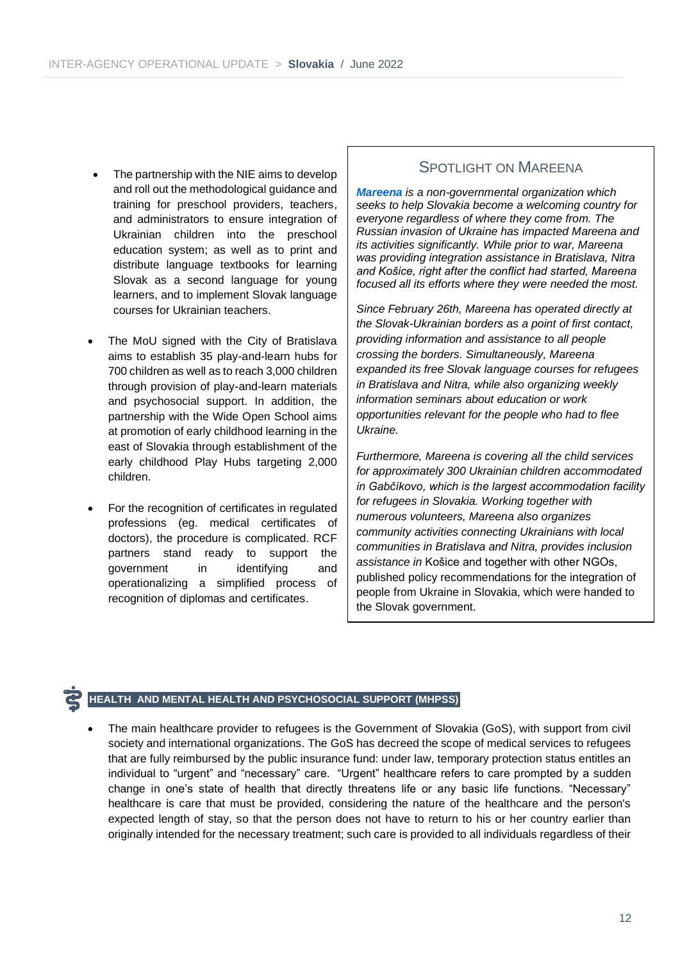- The partnership with the NIE aims to develop and roll out the methodological guidance and training for preschool providers, teachers, and administrators to ensure integration of Ukrainian children into the preschool education system; as well as to print and distribute language textbooks for learning Slovak as a second language for young learners, and to implement Slovak language courses for Ukrainian teachers.
- The MoU signed with the City of Bratislava aims to establish 35 play-and-learn hubs for 700 children as well as to reach 3,000 children through provision of play-and-learn materials and psychosocial support. In addition, the partnership with the Wide Open School aims at promotion of early childhood learning in the east of Slovakia through establishment of the early childhood Play Hubs targeting 2,000 children.
- For the recognition of certificates in regulated professions (eg. medical certificates of doctors), the procedure is complicated. RCF partners stand ready to support the government in identifying and operationalizing a simplified process of recognition of diplomas and certificates.

#### SPOTLIGHT ON MAREENA

*[Mareena](https://mareena.sk/en/) is a non-governmental organization which seeks to help Slovakia become a welcoming country for everyone regardless of where they come from. The Russian invasion of Ukraine has impacted Mareena and its activities significantly. While prior to war, Mareena was providing integration assistance in Bratislava, Nitra and Košice, right after the conflict had started, Mareena focused all its efforts where they were needed the most.* 

*Since February 26th, Mareena has operated directly at the Slovak-Ukrainian borders as a point of first contact, providing information and assistance to all people crossing the borders. Simultaneously, Mareena expanded its free Slovak language courses for refugees in Bratislava and Nitra, while also organizing weekly information seminars about education or work opportunities relevant for the people who had to flee Ukraine.* 

*Furthermore, Mareena is covering all the child services for approximately 300 Ukrainian children accommodated in Gabčíkovo, which is the largest accommodation facility for refugees in Slovakia. Working together with numerous volunteers, Mareena also organizes community activities connecting Ukrainians with local communities in Bratislava and Nitra, provides inclusion assistance in* Košice and together with other NGOs, published policy recommendations for the integration of people from Ukraine in Slovakia, which were handed to the Slovak government.

#### **HEALTH AND MENTAL HEALTH AND PSYCHOSOCIAL SUPPORT (MHPSS)**

• The main healthcare provider to refugees is the Government of Slovakia (GoS), with support from civil society and international organizations. The GoS has decreed the scope of medical services to refugees that are fully reimbursed by the public insurance fund: under law, temporary protection status entitles an individual to "urgent" and "necessary" care. "Urgent" healthcare refers to care prompted by a sudden change in one's state of health that directly threatens life or any basic life functions. "Necessary" healthcare is care that must be provided, considering the nature of the healthcare and the person's expected length of stay, so that the person does not have to return to his or her country earlier than originally intended for the necessary treatment; such care is provided to all individuals regardless of their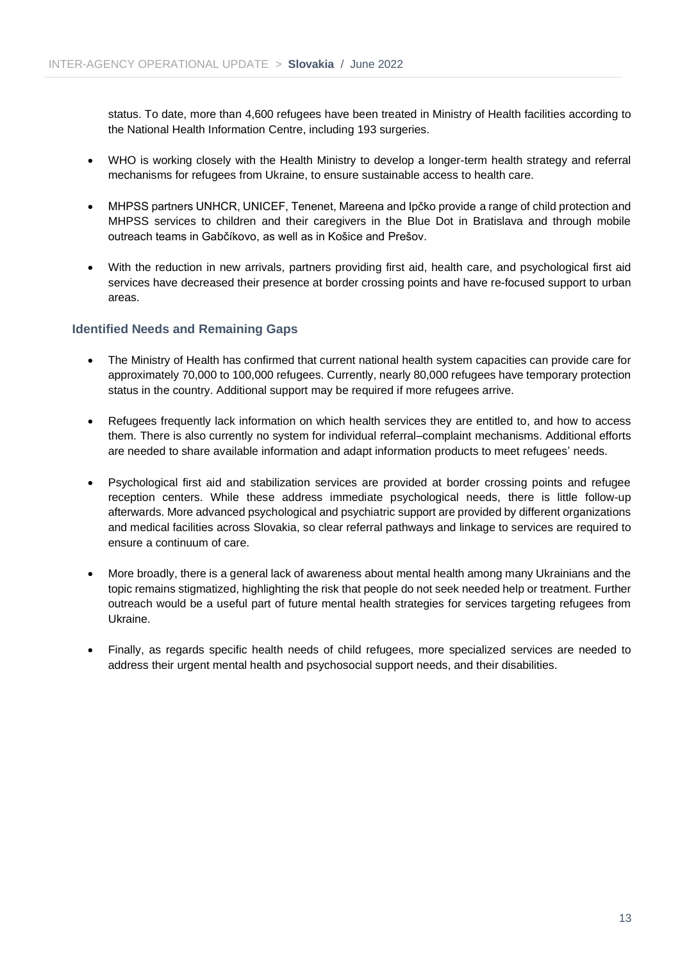status. To date, more than 4,600 refugees have been treated in Ministry of Health facilities according to the National Health Information Centre, including 193 surgeries.

- WHO is working closely with the Health Ministry to develop a longer-term health strategy and referral mechanisms for refugees from Ukraine, to ensure sustainable access to health care.
- MHPSS partners UNHCR, UNICEF, Tenenet, Mareena and Ipčko provide a range of child protection and MHPSS services to children and their caregivers in the Blue Dot in Bratislava and through mobile outreach teams in Gabčíkovo, as well as in Košice and Prešov.
- With the reduction in new arrivals, partners providing first aid, health care, and psychological first aid services have decreased their presence at border crossing points and have re-focused support to urban areas.

#### **Identified Needs and Remaining Gaps**

- The Ministry of Health has confirmed that current national health system capacities can provide care for approximately 70,000 to 100,000 refugees. Currently, nearly 80,000 refugees have temporary protection status in the country. Additional support may be required if more refugees arrive.
- Refugees frequently lack information on which health services they are entitled to, and how to access them. There is also currently no system for individual referral–complaint mechanisms. Additional efforts are needed to share available information and adapt information products to meet refugees' needs.
- Psychological first aid and stabilization services are provided at border crossing points and refugee reception centers. While these address immediate psychological needs, there is little follow-up afterwards. More advanced psychological and psychiatric support are provided by different organizations and medical facilities across Slovakia, so clear referral pathways and linkage to services are required to ensure a continuum of care.
- More broadly, there is a general lack of awareness about mental health among many Ukrainians and the topic remains stigmatized, highlighting the risk that people do not seek needed help or treatment. Further outreach would be a useful part of future mental health strategies for services targeting refugees from Ukraine.
- Finally, as regards specific health needs of child refugees, more specialized services are needed to address their urgent mental health and psychosocial support needs, and their disabilities.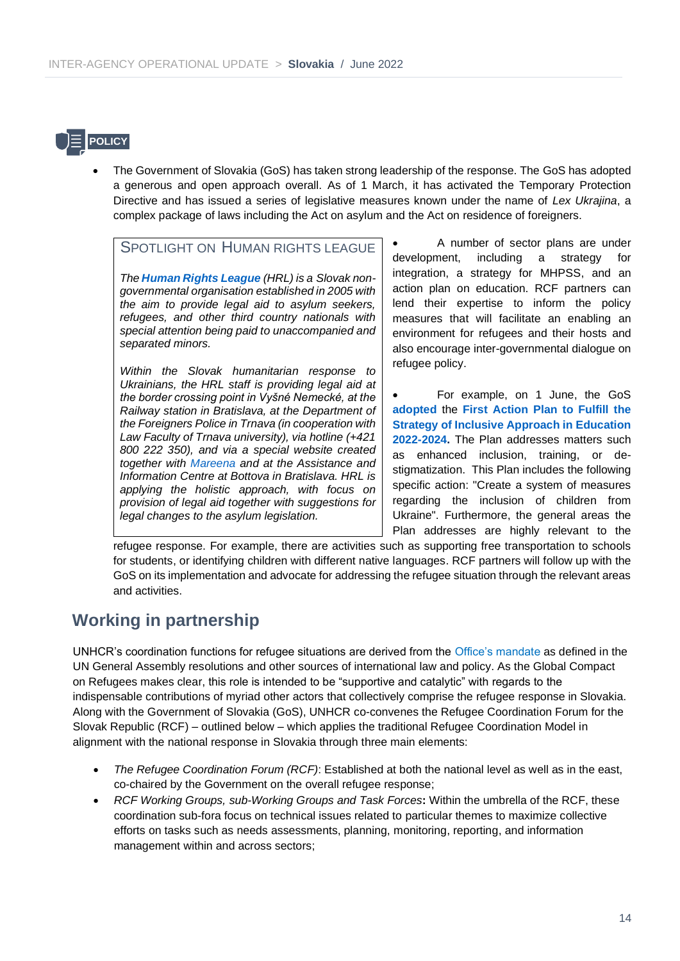![](_page_13_Picture_1.jpeg)

• The Government of Slovakia (GoS) has taken strong leadership of the response. The GoS has adopted a generous and open approach overall. As of 1 March, it has activated the Temporary Protection Directive and has issued a series of legislative measures known under the name of *Lex Ukrajina*, a complex package of laws including the Act on asylum and the Act on residence of foreigners.

**SPOTLIGHT ON HUMAN RIGHTS LEAGUE** 

• *The [Human Rights League](https://www.hrl.sk/sk/co-robime/projekty/ukrajina/ako-pomahame) (HRL) is a Slovak nongovernmental organisation established in 2005 with the aim to provide legal aid to asylum seekers, refugees, and other third country nationals with special attention being paid to unaccompanied and separated minors.*

• *Within the Slovak humanitarian response to Ukrainians, the HRL staff is providing legal aid at the border crossing point in Vyšné Nemecké, at the Railway station in Bratislava, at the Department of the Foreigners Police in Trnava (in cooperation with Law Faculty of Trnava university), via hotline (+421 800 222 350), and via a special website created together with [Mareena](http://www.ukraineslovakia.sk/) and at the Assistance and Information Centre at Bottova in Bratislava. HRL is applying the holistic approach, with focus on provision of legal aid together with suggestions for legal changes to the asylum legislation.*

• A number of sector plans are under development, including a strategy for integration, a strategy for MHPSS, and an action plan on education. RCF partners can lend their expertise to inform the policy measures that will facilitate an enabling an environment for refugees and their hosts and also encourage inter-governmental dialogue on refugee policy.

• For example, on 1 June, the GoS **[adopted](https://eur02.safelinks.protection.outlook.com/?url=https%3A%2F%2Frokovania.gov.sk%2FRVL%2FMaterial%2F27294%2F1&data=05%7C01%7Clensingh%40unhcr.org%7C2f35aacaacf64281659408da455bd638%7Ce5c37981666441348a0c6543d2af80be%7C0%7C0%7C637898558153772150%7CUnknown%7CTWFpbGZsb3d8eyJWIjoiMC4wLjAwMDAiLCJQIjoiV2luMzIiLCJBTiI6Ik1haWwiLCJXVCI6Mn0%3D%7C3000%7C%7C%7C&sdata=p%2Fved0tTfnZiBFVANGnJpwhmSJQz7DSJY6z2oalYM9Y%3D&reserved=0)** the **[First Action Plan to Fulfill the](https://eur02.safelinks.protection.outlook.com/?url=https%3A%2F%2Frokovania.gov.sk%2Fdownload.dat%3Fid%3D9951169A63664384B4805EE29089A6D4-FA751C1327D93626324B56B71354B49B&data=05%7C01%7Clensingh%40unhcr.org%7C2f35aacaacf64281659408da455bd638%7Ce5c37981666441348a0c6543d2af80be%7C0%7C0%7C637898558153772150%7CUnknown%7CTWFpbGZsb3d8eyJWIjoiMC4wLjAwMDAiLCJQIjoiV2luMzIiLCJBTiI6Ik1haWwiLCJXVCI6Mn0%3D%7C3000%7C%7C%7C&sdata=%2BlzgrfUBlpS2mBg28q6G8E%2FtlM2FPfOnXtbLTWXY1zI%3D&reserved=0)  [Strategy of Inclusive Approach in Education](https://eur02.safelinks.protection.outlook.com/?url=https%3A%2F%2Frokovania.gov.sk%2Fdownload.dat%3Fid%3D9951169A63664384B4805EE29089A6D4-FA751C1327D93626324B56B71354B49B&data=05%7C01%7Clensingh%40unhcr.org%7C2f35aacaacf64281659408da455bd638%7Ce5c37981666441348a0c6543d2af80be%7C0%7C0%7C637898558153772150%7CUnknown%7CTWFpbGZsb3d8eyJWIjoiMC4wLjAwMDAiLCJQIjoiV2luMzIiLCJBTiI6Ik1haWwiLCJXVCI6Mn0%3D%7C3000%7C%7C%7C&sdata=%2BlzgrfUBlpS2mBg28q6G8E%2FtlM2FPfOnXtbLTWXY1zI%3D&reserved=0)  [2022-2024.](https://eur02.safelinks.protection.outlook.com/?url=https%3A%2F%2Frokovania.gov.sk%2Fdownload.dat%3Fid%3D9951169A63664384B4805EE29089A6D4-FA751C1327D93626324B56B71354B49B&data=05%7C01%7Clensingh%40unhcr.org%7C2f35aacaacf64281659408da455bd638%7Ce5c37981666441348a0c6543d2af80be%7C0%7C0%7C637898558153772150%7CUnknown%7CTWFpbGZsb3d8eyJWIjoiMC4wLjAwMDAiLCJQIjoiV2luMzIiLCJBTiI6Ik1haWwiLCJXVCI6Mn0%3D%7C3000%7C%7C%7C&sdata=%2BlzgrfUBlpS2mBg28q6G8E%2FtlM2FPfOnXtbLTWXY1zI%3D&reserved=0)** The Plan addresses matters such as enhanced inclusion, training, or destigmatization. This Plan includes the following specific action: "Create a system of measures regarding the inclusion of children from Ukraine". Furthermore, the general areas the Plan addresses are highly relevant to the

refugee response. For example, there are activities such as supporting free transportation to schools for students, or identifying children with different native languages. RCF partners will follow up with the GoS on its implementation and advocate for addressing the refugee situation through the relevant areas and activities.

# **Working in partnership**

UNHCR's coordination functions for refugee situations are derived from the [Office's mandate](https://www.unhcr.org/526a22cb6.html) as defined in the UN General Assembly resolutions and other sources of international law and policy. As the Global Compact on Refugees makes clear, this role is intended to be "supportive and catalytic" with regards to the indispensable contributions of myriad other actors that collectively comprise the refugee response in Slovakia. Along with the Government of Slovakia (GoS), UNHCR co-convenes the Refugee Coordination Forum for the Slovak Republic (RCF) – outlined below – which applies the traditional Refugee Coordination Model in alignment with the national response in Slovakia through three main elements:

- *The Refugee Coordination Forum (RCF)*: Established at both the national level as well as in the east, co-chaired by the Government on the overall refugee response;
- *RCF Working Groups, sub-Working Groups and Task Forces***:** Within the umbrella of the RCF, these coordination sub-fora focus on technical issues related to particular themes to maximize collective efforts on tasks such as needs assessments, planning, monitoring, reporting, and information management within and across sectors;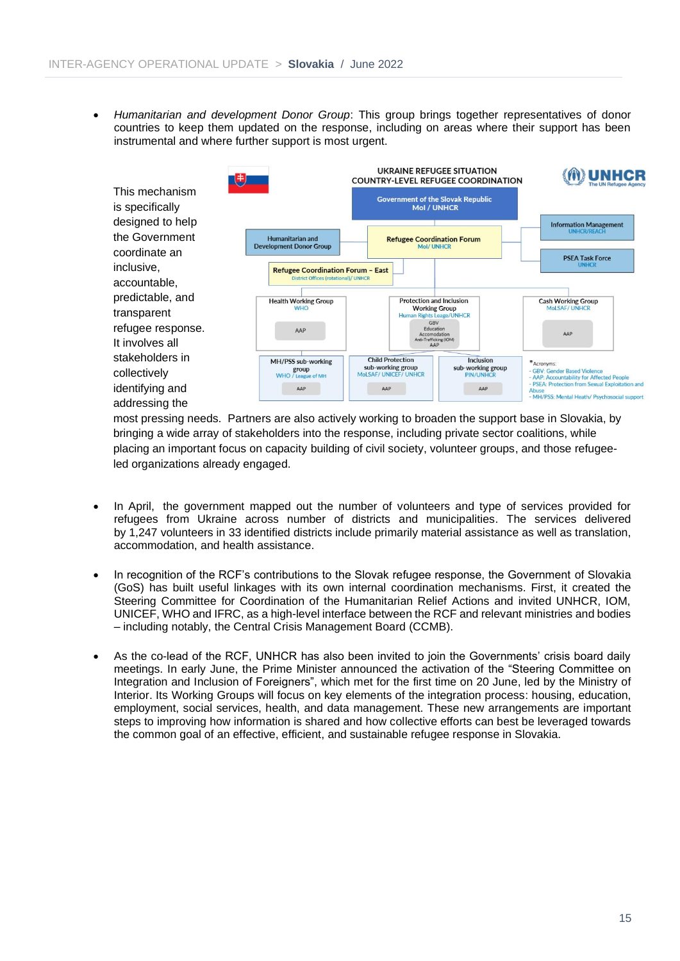• *Humanitarian and development Donor Group*: This group brings together representatives of donor countries to keep them updated on the response, including on areas where their support has been instrumental and where further support is most urgent.

![](_page_14_Figure_2.jpeg)

most pressing needs. Partners are also actively working to broaden the support base in Slovakia, by bringing a wide array of stakeholders into the response, including private sector coalitions, while placing an important focus on capacity building of civil society, volunteer groups, and those refugeeled organizations already engaged.

- In April, the government mapped out the number of volunteers and type of services provided for refugees from Ukraine across number of districts and municipalities. The services delivered by 1,247 volunteers in 33 identified districts include primarily material assistance as well as translation, accommodation, and health assistance.
- In recognition of the RCF's contributions to the Slovak refugee response, the Government of Slovakia (GoS) has built useful linkages with its own internal coordination mechanisms. First, it created the Steering Committee for Coordination of the Humanitarian Relief Actions and invited UNHCR, IOM, UNICEF, WHO and IFRC, as a high-level interface between the RCF and relevant ministries and bodies – including notably, the Central Crisis Management Board (CCMB).
- As the co-lead of the RCF, UNHCR has also been invited to join the Governments' crisis board daily meetings. In early June, the Prime Minister announced the activation of the "Steering Committee on Integration and Inclusion of Foreigners", which met for the first time on 20 June, led by the Ministry of Interior. Its Working Groups will focus on key elements of the integration process: housing, education, employment, social services, health, and data management. These new arrangements are important steps to improving how information is shared and how collective efforts can best be leveraged towards the common goal of an effective, efficient, and sustainable refugee response in Slovakia.